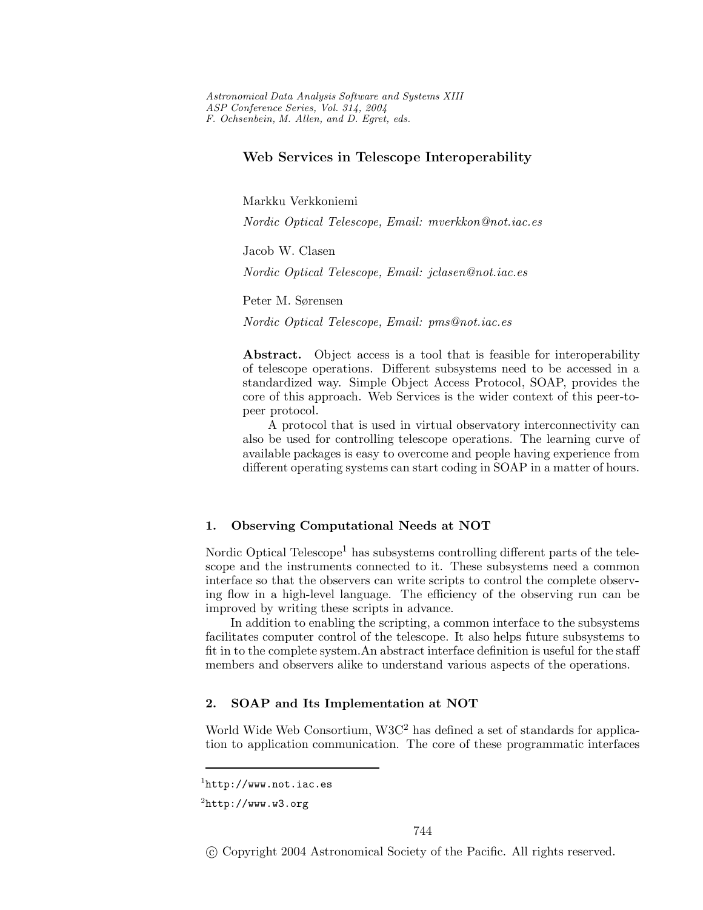*Astronomical Data Analysis Software and Systems XIII ASP Conference Series, Vol. 314, 2004 F. Ochsenbein, M. Allen, and D. Egret, eds.*

# **Web Services in Telescope Interoperability**

Markku Verkkoniemi

*Nordic Optical Telescope, Email: mverkkon@not.iac.es*

Jacob W. Clasen

*Nordic Optical Telescope, Email: jclasen@not.iac.es*

Peter M. Sørensen

*Nordic Optical Telescope, Email: pms@not.iac.es*

Abstract. Object access is a tool that is feasible for interoperability of telescope operations. Different subsystems need to be accessed in a standardized way. Simple Object Access Protocol, SOAP, provides the core of this approach. Web Services is the wider context of this peer-topeer protocol.

A protocol that is used in virtual observatory interconnectivity can also be used for controlling telescope operations. The learning curve of available packages is easy to overcome and people having experience from different operating systems can start coding in SOAP in a matter of hours.

#### **1. Observing Computational Needs at NOT**

Nordic Optical Telescope<sup>1</sup> has subsystems controlling different parts of the telescope and the instruments connected to it. These subsystems need a common interface so that the observers can write scripts to control the complete observing flow in a high-level language. The efficiency of the observing run can be improved by writing these scripts in advance.

In addition to enabling the scripting, a common interface to the subsystems facilitates computer control of the telescope. It also helps future subsystems to fit in to the complete system.An abstract interface definition is useful for the staff members and observers alike to understand various aspects of the operations.

# **2. SOAP and Its Implementation at NOT**

World Wide Web Consortium,  $W3C^2$  has defined a set of standards for application to application communication. The core of these programmatic interfaces

c Copyright 2004 Astronomical Society of the Pacific. All rights reserved.

 $<sup>1</sup>$ http://www.not.iac.es</sup>

 $^{2}$ http://www.w3.org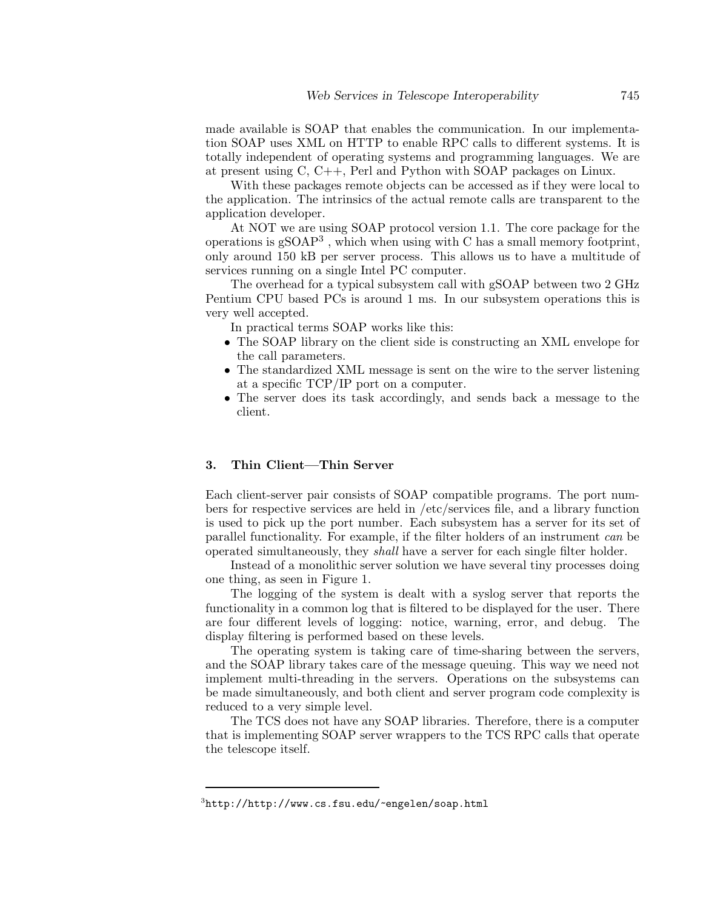made available is SOAP that enables the communication. In our implementation SOAP uses XML on HTTP to enable RPC calls to different systems. It is totally independent of operating systems and programming languages. We are at present using  $C, C++, Perl$  and Python with SOAP packages on Linux.

With these packages remote objects can be accessedas if they were local to the application. The intrinsics of the actual remote calls are transparent to the application developer.

At NOT we are using SOAP protocol version 1.1. The core package for the operations is  $gSOP<sup>3</sup>$ , which when using with C has a small memory footprint, only around150 kB per server process. This allows us to have a multitude of services running on a single Intel PC computer.

The overhead for a typical subsystem call with gSOAP between two 2 GHz Pentium CPU based PCs is around 1 ms. In our subsystem operations this is very well accepted.

In practical terms SOAP works like this:

- The SOAP library on the client side is constructing an XML envelope for the call parameters.
- The standardized XML message is sent on the wire to the server listening at a specific TCP/IP port on a computer.
- The server does its task accordingly, and sends back a message to the client.

#### **3. Thin Client—Thin Server**

Each client-server pair consists of SOAP compatible programs. The port numbers for respective services are held in /etc/services file, and a library function is used to pick up the port number. Each subsystem has a server for its set of parallel functionality. For example, if the filter holders of an instrument *can* be operated simultaneously, they *shall* have a server for each single filter holder.

Instead of a monolithic server solution we have several tiny processes doing one thing, as seen in Figure 1.

The logging of the system is dealt with a syslog server that reports the functionality in a common log that is filtered to be displayed for the user. There are four different levels of logging: notice, warning, error, and debug. The display filtering is performed based on these levels.

The operating system is taking care of time-sharing between the servers, and the SOAP library takes care of the message queuing. This way we need not implement multi-threading in the servers. Operations on the subsystems can be made simultaneously, and both client and server program code complexity is reduced to a very simple level.

The TCS does not have any SOAP libraries. Therefore, there is a computer that is implementing SOAP server wrappers to the TCS RPC calls that operate the telescope itself.

<sup>3</sup>http://http://www.cs.fsu.edu/~engelen/soap.html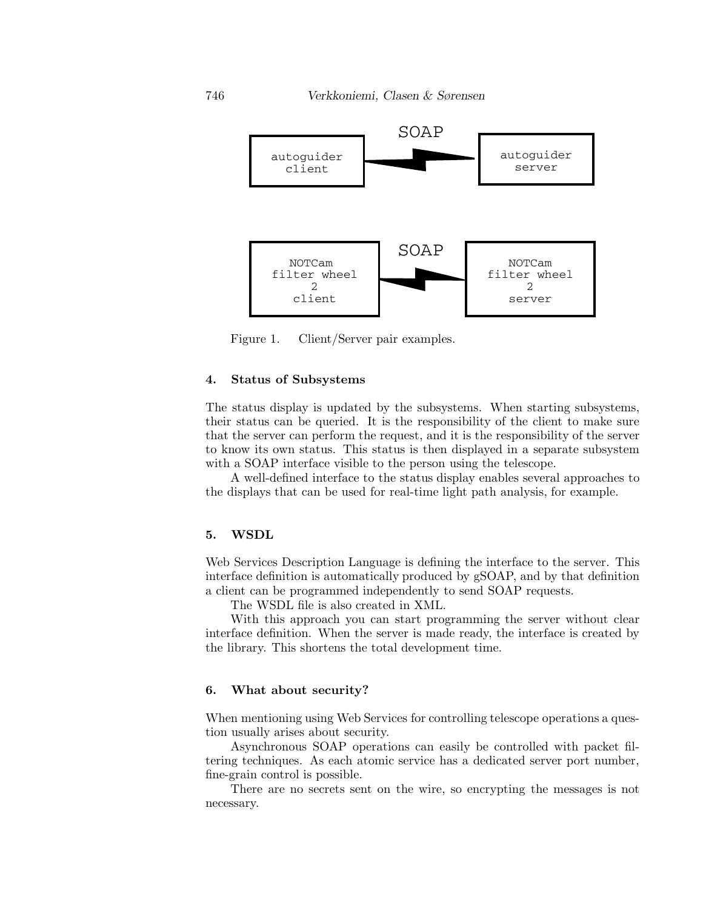

Figure 1. Client/Server pair examples.

# **4. Status of Subsystems**

The status display is updated by the subsystems. When starting subsystems, their status can be queried. It is the responsibility of the client to make sure that the server can perform the request, andit is the responsibility of the server to know its own status. This status is then displayed in a separate subsystem with a SOAP interface visible to the person using the telescope.

A well-defined interface to the status display enables several approaches to the displays that can be used for real-time light path analysis, for example.

### **5. WSDL**

Web Services Description Language is defining the interface to the server. This interface definition is automatically produced by gSOAP, and by that definition a client can be programmed independently to send SOAP requests.

The WSDL file is also created in XML.

With this approach you can start programming the server without clear interface definition. When the server is made ready, the interface is created by the library. This shortens the total development time.

### **6. What about security?**

When mentioning using Web Services for controlling telescope operations a question usually arises about security.

Asynchronous SOAP operations can easily be controlledwith packet filtering techniques. As each atomic service has a dedicated server port number, fine-grain control is possible.

There are no secrets sent on the wire, so encrypting the messages is not necessary.